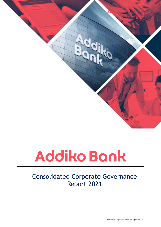

# Consolidated Corporate Governance Report 2021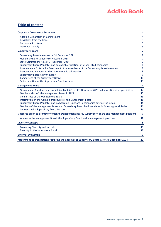### **Table of content**

| <b>Corporate Governance Statement</b>                                                                | 4              |
|------------------------------------------------------------------------------------------------------|----------------|
| <b>Addiko's Declaration of Commitment</b>                                                            | 4              |
| Deviations from the Code                                                                             | 4              |
| <b>Corporate Structure</b>                                                                           | 5              |
| <b>General Assembly</b>                                                                              | 6              |
| <b>Supervisory Board</b>                                                                             | $\overline{7}$ |
| Supervisory Board members on 31 December 2021                                                        | $\overline{7}$ |
| Members who left Supervisory Board in 2021                                                           | $\overline{7}$ |
| State Commissioners as of 31 December 2021                                                           | $\overline{7}$ |
| Supervisory Board Mandates and comparable functions at other listed companies                        | 8              |
| Independence Criteria for Assessment of Independence of the Supervisory Board members                | 8              |
| Independent members of the Supervisory Board members                                                 | 8              |
| <b>Supervisory Board Activity Report</b>                                                             | 9              |
| Committees of the Supervisory Board                                                                  | 10             |
| Self-evaluation of the Supervisory Board Members                                                     | 13             |
| <b>Management Board</b>                                                                              | 14             |
| Management Board members of Addiko Bank AG as of 31 December 2020 and allocation of responsibilities | 14             |
| Members who left the Management Board in 2021                                                        | 15             |
| Committees of the Management Board                                                                   | 15             |
| Information on the working procedures of the Management Board                                        | 16             |
| Supervisory Board Mandates and Comparable Functions in companies outside the Group                   | 16             |
| Members of the Management Board and Supervisory Board held mandates in following subsidiaries        | 16             |
| <b>Contracts with Supervisory Board Members</b>                                                      | 16             |
| Measures taken to promote women in Management Board, Supervisory Board and management positions      | 17             |
| Women in the Management Board, the Supervisory Board and in management positions                     | 17             |
| <b>Diversity Concept</b>                                                                             | 18             |
| Promoting Diversity and Inclusion                                                                    | 18             |
| Diversity in the Supervisory Board                                                                   | 18             |
| <b>External Evaluation</b>                                                                           | 19             |
| Attachment 1: Transactions requiring the approval of Supervisory Board as of 31 December 2021        | 20             |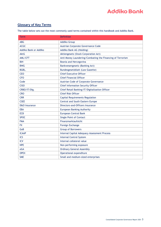### **Glossary of Key Terms**

The table below sets out the most commonly used terms contained within this handbook and Addiko Bank.

| Term                  | <b>Definition</b>                                          |
|-----------------------|------------------------------------------------------------|
| <b>ABG</b>            | <b>Addiko Group</b>                                        |
| <b>ACGC</b>           | Austrian Corporate Governance Code                         |
| Addiko Bank or Addiko | Addiko Bank AG (Holding)                                   |
| <b>AktG</b>           | Aktiengesetz (Stock Corporation Act)                       |
| AML/CFT               | Anti-Money Laundering/Combating the Financing of Terrorism |
| <b>BiH</b>            | Bosnia and Hercegovina                                     |
| <b>BWG</b>            | Bankwesengesetz (Banking Act)                              |
| BGBL.                 | Bundesgesetzblatt (Law Gazette)                            |
| <b>CEO</b>            | <b>Chief Executive Officer</b>                             |
| <b>CFO</b>            | <b>Chief Financial Officer</b>                             |
| Code                  | Austrian Code of Corporate Governance                      |
| <b>CISO</b>           | <b>Chief Information Security Officer</b>                  |
| CRBO/IT/Dig.          | Chief Retail Banking/IT/Digitalization Officer             |
| <b>CRO</b>            | <b>Chief Risk Officer</b>                                  |
| <b>CRR</b>            | <b>Capital Requirements Regulation</b>                     |
| <b>CSEE</b>           | Central and South Eastern Europe                           |
| D&O Insurance         | Directors-and-Officers Insurance                           |
| <b>EBA</b>            | <b>European Banking Authority</b>                          |
| <b>ECB</b>            | <b>European Central Bank</b>                               |
| <b>SPOC</b>           | <b>Single Point of Contact</b>                             |
| <b>FMA</b>            | Finanzmarktaufsicht                                        |
| <b>FX</b>             | Foreign Exchange                                           |
| GoB                   | <b>Group of Borrowers</b>                                  |
| <b>ICAAP</b>          | Internal Capital Adequacy Assessment Process               |
| <b>ICS</b>            | <b>Internal Control System</b>                             |
| <b>ICV</b>            | Internal collateral value                                  |
| <b>NPE</b>            | Non-performing exposure                                    |
| oGA                   | <b>Ordinary General Assembly</b>                           |
| <b>OPEX</b>           | Operational expenditure                                    |
| <b>SME</b>            | Small and medium-sized enterprises                         |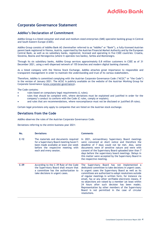### <span id="page-3-0"></span>**Corporate Governance Statement**

#### <span id="page-3-1"></span>**Addiko's Declaration of Commitment**

Addiko Group is a listed consumer and small and medium-sized enterprises (SME) specialist banking group in Central and South Eastern Europe (CSEE).

Addiko Group consists of Addiko Bank AG (hereinafter referred to as "Addiko" or "Bank"), a fully-licensed Austrian parent bank registered in Vienna, Austria, supervised by the Austrian Financial Market Authority and by the European Central Bank, as well as six subsidiary banks, registered, licensed and operating in five CSEE countries: Croatia, Slovenia, Bosnia and Herzegovina (where it operates two banks), Serbia and Montenegro.

Through its six subsidiary banks, Addiko Group services approximately 0.8 million customers in CSEE as of 31 December 2021, using a well-dispersed network of 155 branches and modern digital banking channels.

As a listed company with the Vienna Stock Exchange, Addiko attaches great importance to responsible and transparent management in order to maintain the understanding and trust of its various stakeholders.

Therefore, Addiko is committed complying with the Austrian Corporate Governance Code ("ACGC" or "the Code") in the version of January 2021. The ACGC is publicly available on the website of the Austrian Working Group for Corporate Governance [\(www.corporate-governance\)](http://www.corporate-governance/).

The Code contains:

- rules based on compulsory legal requirements (L rules);
- rules that should be complied with, where deviations must be explained and justified in order for the company's conduct to conform with the Code (C rules, comply or explain);
- and rules that are recommendations, where noncompliance must not be disclosed or justified (R rules).

Certain legal provisions only apply to companies that are listed on the Austrian stock exchange.

#### <span id="page-3-2"></span>**Deviations from the Code**

Addiko observes the rules of the Austrian Corporate Governance Code.

Deviations referring to the entire business year 2021:

<span id="page-3-3"></span>

| No.    | <b>Deviations</b>                                                                                                                                                                         | <b>Comments</b>                                                                                                                                                                                                                                                                                                                                                                                                                                                                                                                                                              |
|--------|-------------------------------------------------------------------------------------------------------------------------------------------------------------------------------------------|------------------------------------------------------------------------------------------------------------------------------------------------------------------------------------------------------------------------------------------------------------------------------------------------------------------------------------------------------------------------------------------------------------------------------------------------------------------------------------------------------------------------------------------------------------------------------|
| $C-12$ | The materials and documents required<br>for a Supervisory Board meeting haven't<br>been made available at least one week<br>before the respective meeting with<br>each and every session. | In 2021, extraordinary Supervisory Board meetings<br>were convened at short notice and therefore the<br>deadline of 7 days could not be met. Also, some<br>documents were of sensitive nature and were with<br>consent of the Supervisory Board uploaded later than 7<br>days before the supervisory board meetings. Delays in<br>this matter were accepted by the Supervisory Board in<br>the respective meeting.                                                                                                                                                           |
| $C-39$ | According to the C-39 Rule of the Code<br>the Supervisory Board shall ensure that<br>a committee has the authorization to<br>take decisions in urgent cases.                              | The Supervisory Board has not implemented a<br>dedicated committee to take decisions in urgent cases.<br>In urgent cases the Supervisory Board as well as its<br>committees are authorized to adopt resolutions outside<br>of regular meetings in written form, for instance via<br>email, fax or any other verifiable electronic means, if<br>no objections are raised by a member (at least within<br>24 hours after such decision has been made).<br>Representation by other members of the Supervisory<br>Board is not permitted in the case of circular<br>resolutions. |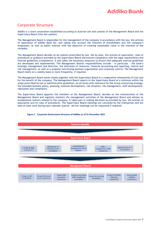# **Corporate Structure**

Addiko is a stock corporation established according to Austrian law and consists of the Management Board and the Supervisory Board (two-tier-system).

The Management Board is responsible for the management of the company in accordance with the law, the articles of association of Addiko Bank AG, and taking into account the interests of shareholders and the company's employees, as well as public interest with the objective of creating sustainable value in the interests of the company.

The Management Board decides on all matters prescribed by law, the by-laws, the articles of association, rules of procedures or guidance provided by the Supervisory Board and ensures compliance with the legal requirements and internal guidelines (compliance). It also takes the necessary measures to ensure that adequate internal guidelines are developed and implemented. The Management Board's responsibilities include - in particular - the bank's strategic management and direction, the allocation of resources, financial accounting and reporting, control and risk management, as well as a properly functioning business organization and corporate control. The Management Board meets on a weekly basis or more frequently, if required.

The Management Board works closely together with the Supervisory Board in a cooperative relationship of trust and for the benefit of the company. The Management Board reports to the Supervisory Board at a minimum within the scope prescribed by law or administrative guidelines, on all issues with relevance for the Group concerning strategy, the intended business policy, planning, business development, risk situation, risk management, staff development, reputation and compliance.

The Supervisory Board appoints the members of the Management Board, decides on the remuneration of the Management Board and regularly monitors the management activities of the Management Board and advises on fundamental matters related to the company. It takes part in making decisions as provided by law, the articles of association and its rules of procedures. The Supervisory Board meetings are convened by the chairperson and are held at least once during each calendar quarter. Ad-hoc meetings can be requested if required.



#### **Figure 1 Corporate Governance Structure of Addiko as of 31 December 2021**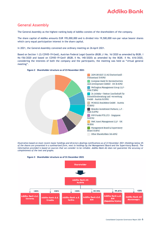# <span id="page-5-0"></span>**General Assembly**

The General Assembly as the highest-ranking body of Addiko consists of the shareholders of the company.

The share capital of Addiko amounts EUR 195,000,000 and is divided into 19,500,000 non-par value bearer shares which carry equal participation interest in the share capital.

In 2021, the General Assembly convened one ordinary meeting on 26 April 2021.

Based on Section 1 (2) COVID-19-GesG, Austrian Federal Legal Gazette (BGBl.) I No. 16/2020 as amended by BGBl. I No 156/2020 and based on COVID-19-GesV (BGBl. II No. 140/2020) as amended by the BGBl. II No. 616/2020, considering the interests of both the company and the participants, the meeting was held as "virtual general meeting".



**Figure 2 Shareholder structure as of 23 November 2021**

*Illustration based on most recen[t major holdings](https://www.addiko.com/major-holdings-notifications/) an[d directors dealings](https://www.addiko.com/directors-dealings/) notifications as of 23 November 2021 (Holdings below 4% of the shares are presented in a summarized form, next to holdings by the Management Board and the Supervisory Board). The information provided is based on sources that we consider to be reliable. Addiko Bank AG does not guarantee the accuracy or completeness of the text and graphs.*



#### **Figure 3 Shareholder structure as of 31 December 2021**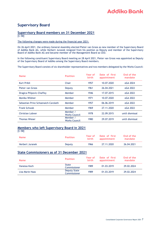# <span id="page-6-0"></span>**Supervisory Board**

# <span id="page-6-1"></span>**Supervisory Board members on 31 December 2021**

 $[C-58]$ 

#### The following changes were made during the financial year 2021:

On 26 April 2021, the ordinary General Assembly elected Pieter van Groos as new member of the Supervisory Board of Addiko Bank AG, while Herbert Juranek resigned from his position as Deputy and member of the Supervisory Board of Addiko Bank AG and became member of the Management Board as CEO.

In the following constituent Supervisory Board meeting on 28 April 2021, Pieter van Groos was appointed as Deputy of the Supervisory Board of Addiko among the Supervisory Board members.

The Supervisory Board consists of six shareholder representatives and two members delegated by the Works Council:

| <b>Name</b>                         | <b>Position</b>                  | Year of<br>birth | Date of first<br>appointment | End of the<br>mandate |
|-------------------------------------|----------------------------------|------------------|------------------------------|-----------------------|
| <b>Kurt Pribil</b>                  | Chair                            | 1957             | 10.07.2020                   | oGA 2024              |
| Pieter van Groos                    | Deputy                           | 1961             | 26.04.2021                   | oGA 2022              |
| Dragica Pilipovic-Chaffey           | Member                           | 1946             | 17.07.2015                   | oGA 2022              |
| Monika Wildner                      | Member                           | 1971             | 10.07.2020                   | oGA 2022              |
| Sebastian Prinz Schoenaich-Carolath | Member                           | 1957             | 06.06.2019                   | oGA 2022              |
| <b>Frank Schwab</b>                 | Member                           | 1969             | 27.11.2020                   | oGA 2022              |
| <b>Christian Lobner</b>             | Member /<br><b>Works Council</b> | 1978             | 22.09.2015                   | until dismissal       |
| <b>Thomas Wieser</b>                | Member /<br><b>Works Council</b> | 1980             | 29.07.2019                   | until dismissal       |

#### <span id="page-6-2"></span>**Members who left Supervisory Board in 2021**  $TC$ -581

| $100 - 100$<br><b>Name</b> | <b>Position</b> | Year of<br><b>birth</b> | Date of first<br>appointment | End of the<br>mandate |  |
|----------------------------|-----------------|-------------------------|------------------------------|-----------------------|--|
| <b>Herbert Juranek</b>     | Deputy          | 1966                    | 27.11.2020                   | 26.04.2021            |  |
|                            |                 |                         |                              |                       |  |

#### <span id="page-6-3"></span>**State Commissioners as of 31 December 2021**

| <b>Name</b>     | <b>Position</b>              | Year of<br>birth | Date of first<br>appointment | End of the<br>mandate |
|-----------------|------------------------------|------------------|------------------------------|-----------------------|
| Vanessa Koch    | State<br>Commissioner        | 1989             | 01.03.2019                   | 29.02.2024            |
| Lisa Marie Haas | Deputy State<br>Commissioner | 1989             | 01.03.2019                   | 29.02.2024            |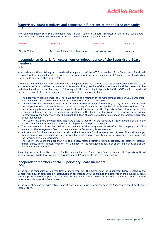#### <span id="page-7-0"></span>**Supervisory Board Mandates and comparable functions at other listed companies** [C-58]

The following Supervisory Board members hold further Supervisory Board mandates or perform a comparable function at a listed company. Members not listed, do not have a comparable function.

| <b>Name</b>    | Company                           | <b>Mandate</b>    | <b>Position</b> |
|----------------|-----------------------------------|-------------------|-----------------|
| Monika Wildner | Austrian CA Immobilien Anlagen AG | Supervisory Board | Member          |

### <span id="page-7-1"></span>**Independence Criteria for Assessment of Independence of the Supervisory Board members**

 $\overline{[C-53]}$ 

In accordance with and taking into consideration Appendix 1 of the ACGC, a member of the Supervisory Board shall be considered as independent if no private or other relationship with the company or its' Management Board exists, which would case a conflict of interest.

The majority of members of the Supervisory Board appointed by the General Assembly or delegated according to the articles of association shall be considered as independent. Every member of the Supervisory Board shall be responsible to declare its independence. Further, the following guidelines according to Appendix 1 of the ACGC shall be considered for the assessment of the independence of a member of the Supervisory Board:

- The Supervisory Board member shall not have served as a member of the Management Board or as a management level employee of the company or one of its subsidiaries in the past five years.
- The Supervisory Board member shall not maintain or have maintained in the past year any business relations with the company or one of its subsidiaries to an extent of significance for the member of the Supervisory Board. This shall also apply to relationships with companies in which a member of the Supervisory Board has a considerable economic interest, but not for exercising functions in the bodies of the group. The approval of individual transactions by the Supervisory Board pursuant to L-Rule 48 does not automatically mean the person is qualified as not independent.
- The Supervisory Board member shall not have acted as auditor of the company or have owned a share in the auditing company or have worked there as an employee in the past three years.
- The Supervisory Board member shall not be a member of the Management Board of another company in which a member of the Management Board of the company is a Supervisory Board member.
- A Supervisory Board member may not remain on the Supervisory Board for more than 15 years. This shall not apply to Supervisory Board members who are shareholders with a direct investment in the company or who represent the interests of such a shareholder.
- The Supervisory Board member shall not be a closely related (direct offspring, spouses, life partners, parents, uncles, aunts, sisters, nieces, nephews) of a member of the Management Board or of persons having one of the aforementioned relations.

According to the criteria listed above for the independence of Supervisory Board members, all Supervisory Board members of Addiko Bank AG within the business year 2021 can be classified as independent.

# <span id="page-7-2"></span>**Independent members of the Supervisory Board members**

 $TC-541$ 

In the case of companies with a free float of more than 20%, the members of the Supervisory Board elected by the General Assembly or delegated by shareholders in accordance with the articles of incorporation shall include at least one independent member pursuant to C-Rule 54 who is not a shareholder with a stake of more than 10% or who represents such a shareholder's interests.

In the case of companies with a free float of over 50%, at least two members of the Supervisory Board must meet these criteria.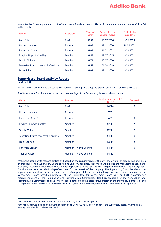In Addiko the following members of the Supervisory Board can be classified as independent members under C-Rule 54 in this matter:

| <b>Name</b>                         | <b>Position</b> | Year of<br><b>birth</b> | Date of first<br>appointment | End of the<br>mandate |
|-------------------------------------|-----------------|-------------------------|------------------------------|-----------------------|
| <b>Kurt Pribil</b>                  | Chair           | 1957                    | 10.07.2020                   | oGA 2024              |
| Herbert Juranek                     | Deputy          | 1966                    | 27.11.2020                   | 26.04.2021            |
| Pieter van Groos                    | Deputy          | 1961                    | 26.04.2021                   | oGA 2022              |
| Dragica Pilipovic-Chaffey           | Member          | 1946                    | 17.07.2015                   | oGA 2022              |
| Monika Wildner                      | Member          | 1971                    | 10.07.2020                   | oGA 2022              |
| Sebastian Prinz Schoenaich-Carolath | Member          | 1957                    | 06.06.2019                   | oGA 2022              |
| <b>Frank Schwab</b>                 | Member          | 1969                    | 27.11.2020                   | oGA 2022              |

#### <span id="page-8-0"></span>**Supervisory Board Activity Report**

 $[C-36, C-58]$ 

In 2021, the Supervisory Board convened fourteen meetings and adopted eleven decisions via circular resolution.

The Supervisory Board members attended the meetings of the Supervisory Board as shown below:

| <b>Name</b>                         | <b>Position</b>        | Meetings attended /<br>out of | <b>Excused</b> |
|-------------------------------------|------------------------|-------------------------------|----------------|
| <b>Kurt Pribil</b>                  | Chair                  | 14/14                         | 0              |
| Herbert Juranek <sup>1</sup>        | Deputy                 | 7/8                           |                |
| Pieter van Groos <sup>2</sup>       | Deputy                 | 6/6                           | 0              |
| Dragica Pilipovic-Chaffey           | Member                 | 12/14                         | 2              |
| Monika Wildner                      | Member                 | 12/14                         | 2              |
| Sebastian Prinz Schoenaich-Carolath | Member                 | 14/14                         | 0              |
| <b>Frank Schwab</b>                 | Member                 | 12/14                         | 2              |
| <b>Christian Lobner</b>             | Member / Works Council | 14/14                         | 0              |
| <b>Thomas Wieser</b>                | Member / Works Council | 14/13                         |                |

Within the scope of its responsibilities and based on the requirements of the law, the articles of association and rules of procedures, the Supervisory Board of Addiko Bank AG appoints, supervises and advises the Management Board and is directly involved in decisions of fundamental importance to the bank. It works together closely with the Management Board in a cooperative relationship of trust and for the benefit of the company. The Supervisory Board decides on the appointment and dismissal of members of the Management Board including long-term succession planning for the Management Board based on proposals of the Committee for Management Board Matters, further considering recommendations of the Nomination and Remuneration Committee. Based on proposals of the Nomination and Remuneration Committee, the Supervisory Board determines the total remuneration of the individual members of the Management Board resolves on the remuneration system for the Management Board and reviews it regularly.

 $1$  Mr. Juranek was appointed as member of the Supervisory Board until 26 April 2021

 $2$  Mr. van Groos was elected by the General Assembly on 26 April 2021 as new member of the Supervisory Board. Afterwards six meetings were held in business year 2021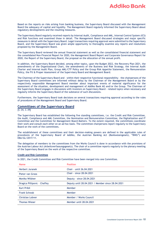Based on the reports on risks arising from banking business, the Supervisory Board discussed with the Management Board the adequacy of capital and liquidity. The Management Board regularly informed the Supervisory Board about regulatory developments and the resulting measures.

The Supervisory Board regularly received reports by Internal Audit, Compliance and AML, Internal Control System (ICS) and Risk functions and examined those in detail. The Management Board discussed strategies and major specific measures in detail with the Supervisory Board. Legal transactions requiring approval were submitted to the Supervisory Board, and the Supervisory Board was given ample opportunity to thoroughly examine any reports and resolutions proposed by the Management Board.

The Supervisory Board reviewed the annual financial statement as well as the consolidated financial statement and the consolidated Non-Financial Report for 2020, the Management Board Report and Corporate Governance Report for 2020, the Report of the Supervisory Board, the proposal on the allocation of the annual profit.

In addition, the Supervisory Board decided, among other topics, upon the Budget 2022, the Recovery Plan 2021, the amendments of the Organizational Chart, the amendments of the Business and Risk Strategy, the Internal Audit Charter and Internal Audit Plan, Group AML/CTF Policy and the Group Risk Appetite Statement, the Remuneration Policy, the Fit & Proper Assessment of the Supervisory Board and Management Board.

The Chairman of the Supervisory Board and – within their respective functional responsibility – the chairpersons of the Supervisory Board committees are informed without delay by the Chairman of the Management Board or by the respectively responsible Management Board member about important events of material significance for the assessment of the situation, development and management of Addiko Bank AG and/or the Group. The Chairman of the Supervisory Board engages in discussions with investors on Supervisory Board - related topics when necessary and regularly informs the Supervisory Board of the substance of such discussions.

Furthermore, the Supervisory Board took decisions on several transactions requiring approval according to the rules of procedures of the Management Board and Supervisory Board.

#### <span id="page-9-0"></span>**Committees of the Supervisory Board**

[C-34, C-39]

The Supervisory Board has established the following five standing committees, i.e. the Credit and Risk Committee, the Audit, Compliance and AML Committee, the Nomination and Remuneration Committee, the Digitalization and IT Committee and the Committee for Management Board Matters. To the extent required, the committees coordinate their work and consult each other on an ad hoc basis. The committee chairpersons report regularly to the Supervisory Board on the work of the committees.

The establishment of these committees and their decision-making powers are defined in the applicable rules of procedures of the Supervisory Board of Addiko, the Austrian Banking Act (Bankwesengesetz, "BWG") and EBA/GL/2017/11.

The delegation of members to the committees from the Works Council is done in accordance with the provisions of the Austrian Labour Act (Arbeitsverfassungsgesetz). The chair of a committee reports regularly to the plenary meeting of the Supervisory Board on the work of the respective committee.

#### **Credit and Risk Committee**

In 2021, the Credit Committee and Risk Committee have been merged into one Committee.

| <b>Name</b>                  | <b>Position</b>                                   |
|------------------------------|---------------------------------------------------|
| Herbert Juranek              | Chair - until 26.04.2021                          |
| Pieter van Groos             | Chair - since 28,04,2021                          |
| Monika Wildner               | Deputy - since 28.04.2021                         |
| Dragica Pillipovic - Chaffey | Deputy until 28.04.2021 / Member since 28.04.2021 |
| <b>Kurt Pribil</b>           | Member                                            |
| <b>Frank Schwab</b>          | Member                                            |
| <b>Christian Lobner</b>      | Member / Works Council                            |
| <b>Thomas Wieser</b>         | Member until 28,04,2021                           |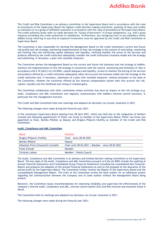The Credit and Risk Committee is an advisory committee to the Supervisory Board and in accordance with the rules of procedures of the Supervisory Board the highest credit decision making committee, granting of loans and credits to customers or to a group of affiliated customers in accordance with the rules of procedures of the Supervisory Board. The credit authority levels refer to credit decisions for "Group of borrowers" in Group competence, e.g. with a gross exposure exceeding the credit authorities of subsidiaries. Furthermore, any intragroup limit to any subsidiary within Addiko Group referring to any kind of exposure/investment must be approved by the Credit and Risk Committee of Supervisory Board.

The Committee is also responsible for advising the Management Board on the credit institution's current and future risk profile and risk strategy; monitoring implementation of that risk strategy in the context of controlling, monitoring and limiting risks and monitoring capital adequacy and liquidity; verifying whether the prices of the services and products offered by the credit institution adequately consider the credit institution's business model and risk strategy and submitting, if necessary, a plan with remedial measures.

The Committee advises the Management Board on the current and future risk tolerance and risk strategy of Addiko, monitors the implementation of this risk strategy in connection with the control, monitoring and limitation of risks in accordance with § 39 (2b)(1) to (14) BWG, capital adequacy and liquidity, review of whether the pricing of the services and products offered by a credit institution adequately takes into account the business model and risk strategy of the credit institution and, if necessary, submission of a plan with remedial measures, without prejudice to the tasks of the Committee, whether the incentives offered by the internal compensation system take into account the risk, capital, liquidity and the likelihood and timing of realized gains.

The Committee collaborates with other committees whose activities may have an impact on the risk strategy (e.g. Audit, Compliance and AML Committee) and regularly communicates with Addiko's internal control functions, in particular the risk management function.

The Credit and Risk Committee held nine meetings and adopted six decisions via circular resolution in 2021.

The following changes were made during the financial year 2021:

In the constituent Supervisory Board meeting from 28 April 2021, which was held due to the resignation of Herbert Juranek and following appointment of Pieter van Groos as member of the Supervisory Board, Pieter van Groos was appointed as Chair, Monika Wildner as Deputy and Dragica Pilipovic-Chaffey as member of the Credit and Risk Committee.

#### **Audit, Compliance and AML Committee**

| <b>Name</b>                         | <b>Position</b>                                    |
|-------------------------------------|----------------------------------------------------|
| Dragica Pilipovic-Chaffey           | Chair - since 28,04,2021                           |
| Monika Wildner                      | Deputy                                             |
| Sebastian Prinz Schoenaich-Carolath | Chair until 28.04.2021 / Member - since 28.04.2021 |
| <b>Frank Schwab</b>                 | Member                                             |
| <b>Christian Lobner</b>             | Member / Works Council                             |

The Audit, Compliance and AML Committee is an advisory and limited decision making Committee to the Supervisory Board. The key tasks of the Audit, Compliance and AML Committee pursuant to § 63a (4) BWG include the auditing of Annual Financial Statements and Consolidated Group Financial Statements including the consolidated Non-Financial-Report and prepares the adoption of the Annual Financial Statements as well as the proposal on the allocation of the annual profit by the Supervisory Board. The Committee further reviews the Report of the Supervisory Board and the (consolidated) Management Report. The Chair of the Committee invites the bank auditor for an additional session regarding the communication between the Company and its bank auditor without the Management Board being present.

Moreover, the Committee issues recommendations for improving reliability and supervises the effectiveness of the company's Internal Audit, Compliance and AML, Internal control system (ICS) and Risk function and examines those in detail.

The Committee held six meetings and adopted two decisions via circular resolution in 2021.

The following changes were made during the financial year 2021: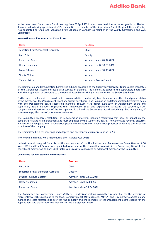In the constituent Supervisory Board meeting from 28 April 2021, which was held due to the resignation of Herbert Juranek and following appointment of Pieter van Groos as member of the Supervisory Board, Dragica Pilipovic-Chaffey was appointed as Chair and Sebastian Prinz Schoenaich-Carolath as member of the Audit, Compliance and AML Committee.

#### **Nomination and Remuneration Committee**

| <b>Name</b>                         | <b>Position</b>           |
|-------------------------------------|---------------------------|
| Sebastian Prinz Schoenaich-Carolath | Chair                     |
| <b>Kurt Pribil</b>                  | Deputy                    |
| Pieter van Groos                    | Member - since 28,04,2021 |
| Herbert Juranek                     | Member - until 30.03.2021 |
| <b>Frank Schwab</b>                 | Member - since 30.03.2021 |
| Monika Wildner                      | Member                    |
| <b>Thomas Wieser</b>                | Member / Works Council    |

The Nomination and Remuneration Committee submits proposals to the Supervisory Board for filling vacant mandates on the Management Board and deals with succession planning. The Committee supports the Supervisory Board also with the preparation of proposals to the General Assembly for filling of vacancies on the Supervisory Board.

Furthermore, the Committee considers its recommendations on diversity targets and reviews the fit and proper status of the members of the Management Board and Supervisory Board. The Nomination and Remuneration Committee deals with the Management Board succession planning; regular Fit & Proper evaluation of Management Board and Supervisory Board members regarding their knowledge, skills and experience; assessing the structure, size, composition and performance of the Management Board and the Supervisory Board periodically, but in any case, if occasions imply the necessity for a new evaluation.

The Committee prepares resolutions on remuneration matters, including resolutions that have an impact on the company's risk and risk management and must be passed by the Supervisory Board. The Committee reviews, discusses and suggests changes to the remuneration policy and monitors the remuneration practices as well as the incentive structure of the company.

The Committee held ten meetings and adopted one decision via circular resolution in 2021.

The following changes were made during the financial year 2021:

Herbert Juranek resigned from his position as member of the Nomination- and Remuneration Committee as of 30 March 2021 and Frank Schwab was appointed as member of the Committee from within the Supervisory Board. In the constituent meeting on 28 April 2021 Pieter van Groos was appointed as additional member of the Committee.

#### **Committee for Management Board Matters**

| <b>Name</b>                         | <b>Position</b>           |
|-------------------------------------|---------------------------|
| <b>Kurt Pribil</b>                  | Chair                     |
| Sebastian Prinz Schoenaich-Carolath | Deputy                    |
| Dragica Pilipovic-Chaffey           | Member - since 22.03.2021 |
| Herbert Juranek                     | Member - until 22.03.2021 |
| Pieter van Groos                    | Member - since 28.04.2021 |

The Committee for Management Board Matters is a decision-making committee responsible for the exercise of representative rights pursuant to the Stock Corporation Act (Aktiengesetz, "AktG") and is required to advise on and manage the legal relationships between the company and the members of the Management Board except for the appointment and dismissal of the members of the Management Board.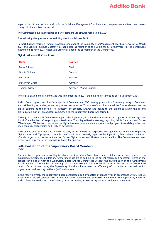In particular, it deals with provisions in the individual Management Board members' employment contracts and makes changes to the contracts as needed.

The Committee held six meetings and two decisions via circular resolution in 2021.

The following changes were made during the financial year 2021:

Herbert Juranek resigned from his position as member of the Committee for Management Board Matters as of 22 March 2021 and Dragica Pilipovic-Chaffey was appointed as member of the Committee. Furthermore, in the constituent meeting on 28 April 2021 Pieter van Groos was appointed as member of the Committee.

#### **Digitalization and IT Committee**

| <b>Name</b>          | <b>Position</b>        |
|----------------------|------------------------|
| <b>Frank Schwab</b>  | Chair                  |
| Monika Wildner       | Deputy                 |
| <b>Kurt Pribil</b>   | Member                 |
| Pieter van Groos     | Member                 |
| <b>Thomas Wieser</b> | Member / Works Council |

The Digitalization and IT Committee was implemented in 2021 and held its first meeting on 14 December 2021.

Addiko Group repositioned itself as a specialist Consumer and SME banking group with a focus on growing its Consumer and SME lending activities, as well as payment services (its "focus areas") and has placed the further development to digital banking at the core of its strategy. To properly answer and adapt to the dynamics within the IT and digitalization market, an advisory committee to the Supervisory Board was formed.

The Digitalization and IT Committee supports the Supervisory Board in the supervision and support of the Management Board of Addiko Bank AG regarding Addiko Groups IT and Digitalization strategy regarding Addiko's current and future IT landscape, IT infrastructure, as well as digital business developments, approach and progress towards Digitalization, open banking, partnerships and FinTech activities.

The Committee is informed and involved as early as possible by the respective Management Board member regarding Digitalization and IT projects, to enable the Committee to properly report to the Supervisory Board about the impact of such projects on the current and/or future Digitalization and IT structure of Addiko. The Committee endorses projects and reports to the Supervisory Board for approval.

#### <span id="page-12-0"></span>**Self-evaluation of the Supervisory Board Members**

 $TC-36$ ]

The statutory regulation, according to which the Supervisory Board has to meet at least once every quarter, is a minimum requirement. In addition, further meetings are to be held to the extent required. If necessary, items on the agenda can be dealt with the Supervisory Board and its Committees without the participation of the Management Board members. The number of meetings of the Supervisory Board must be disclosed in the Corporate Governance report. On an annual basis, the Supervisory Board shall evaluate the efficiency of its' activities, as well as its' organization and working methods (self-evaluation).

<span id="page-12-1"></span>In the reporting year, the Supervisory Board conducted a self-evaluation of its activities in accordance with C Rule 36 ACGC within the  $3^{rd}$  Quarter 2021. In line with the recommended self-assessment forms, the Supervisory Board of Addiko Bank AG, evaluated the efficiency of its' activities, as well as organisation and work procedures.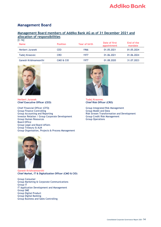### **Management Board**

### <span id="page-13-0"></span>**Management Board members of Addiko Bank AG as of 31 December 2021 and allocation of responsibilities**

| $[C-16]$               |                 |               |                              |                       |  |  |
|------------------------|-----------------|---------------|------------------------------|-----------------------|--|--|
| <b>Name</b>            | <b>Position</b> | Year of birth | Date of first<br>appointment | End of the<br>mandate |  |  |
| <b>Herbert Juranek</b> | CEO             | 1966          | 01.05.2021                   | 01.05.2024            |  |  |
| Tadej Krasovec         | <b>CRO</b>      | 1977          | 01.06.2021                   | 01.06.2024            |  |  |
| Ganesh Krishnamoorthi  | CMO & CIO       | 1977          | 01.08.2020                   | 31.07.2023            |  |  |



**Herbert Juranek Tadej Krasovec Chief Executive Officer (CEO)** 

Chief Financial Officer (CFO**)** Group Integrated Risk Management Group Finance Controlling and Reporting Controlling Controlling Group Model and Data Group Model and Data Group Model and Data Group Model and Risk Stream Transform Investor Relation / Group Corporate Development Group Credit Risk Group Human Resources Group Human Resources Board Office Group Legal and Board Affairs Group Treasury & ALM Group Organisation, Projects & Process Management



Risk Stream Transformation and Development<br>Group Credit Risk Management



**Ganesh Krishnamoorthi Chief Market, IT & Digitalization Officer (CMO & CIO)**

Group Consumer Group Marketing & Corporate Communications Group IT IT Application Development and Management Group SME Group Digital Product Group Digital Banking Group Business and Sales Controlling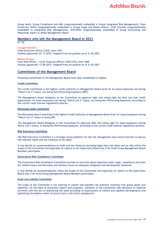Group Audit, Group Compliance and AML (organizationally embedded in Group Integrated Risk Management), Data Protection Office (organizationally embedded in Group Legal and Board Affairs), CISO function (organizationally embedded in Integrated Risk Management), ECB/SPOC (organizationally embedded in Group Accounting and Reporting) report to whole Management Board.

#### <span id="page-14-0"></span>**Members who left the Management Board in 2021**

[C-16]

#### **Csongor Nemeth**

Chief Executive Officer (CEO), born 1974 Initially appointed: 01.11.2015, resigned from his position as of 31.05.2021

**Markus Krause** Chief Risk Officer / Chief Financial Officer (CRO/CFO), born 1968 Initially appointed: 17.08.2015, resigned from his position as of 31.05.2021

#### <span id="page-14-1"></span>**Committees of the Management Board**

Following committees of the Management Board have been established in Addiko:

#### **Credit Committee**

The Credit Committee is the highest credit authority on Management Board level for all loans/exposures not having "Watch List 2" status, nor being Non-Performing Exposure (NPE).

The Management Board delegates to the Committee its approval right and voting right for limit and loan credit applications, for loans/exposures not having "Watch List 2" status, nor being Non-Performing Exposures, according to the current valid internal regulations/policies.

#### **Distressed Asset Committee**

The Distressed Asset Committee is the highest Credit Authority on Management Board level for loans/exposures having "Watch List 2" status or being NPL.

The Management Board delegates to the Committee its approval right and voting right for loans/exposures having Watch List 2 status, or being Non-Performing Exposures, according to the current valid internal regulations/policies.

#### **Risk Executive Committee**

The Risk Executive Committee is a strategic Group platform for the risk management and control function to discuss risk-relevant issues and the measures to be taken.

It may decide on recommendations on audit and non-financial (including legal risks) risk topics and on risks within the Scope of this Committee and especially on reports to the Supervisory Board only if all three Group Management Board Members participate.

#### **Governance Risk Compliance Committee**

The Governance Risk Compliance Committee provides an overview about important audit, legal, compliance and other ICS related topics and discussion and advisory forum on adequate mitigation and development measures.

It may decide on recommendations within the Scope of this Committee and especially on reports to the Supervisory Board only if all three Group Management Board Members participate.

#### **Asset and Liability Committee**

The scope of the Committee is the steering of market and liquidity risk positions resulting from group assets and liabilities. On the basis of presented reports and proposals, members of the Committee take decisions on material activities with the aim of positioning the bank according to expectations of market and liquidity developments and optimizing the balance sheet structure from a risk/return perspective.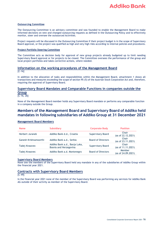#### **Outsourcing Committee**

The Outsourcing Committee is an advisory committee and was founded to enable the Management Board to make informed decisions on new and changed outsourcing requests as defined in the Outsourcing Policy and to effectively monitor, steer and oversee the outsourced Activities.

Project requests will be discussed in the Outsourcing Committee if their project budget is in the scope of Supervisory Board approval, or the project was qualified as high and very high risks according to internal policies and procedures.

#### **Project Portfolio Steering Committee**

The Committee acts as decision body for approval of new group projects already budgeted up to limit needing Supervisory Board approval or for projects to be closed. The Committee oversees the performance of the group and local project portfolios and takes corrective actions, where needed.

# <span id="page-15-0"></span>**Information on the working procedures of the Management Board**

[C-16]

In addition to the allocation of tasks and responsibilities within the Management Board, attachment 1 shows all transactions and measures exceeding the scope of section 95 (5) of the Austrian Stock Corporation Act and, therefore, requiring the approval of Supervisory Board.

#### <span id="page-15-1"></span>**Supervisory Board Mandates and Comparable Functions in companies outside the Group**

 $[C-16, 26]$ 

None of the Management Board member holds any Supervisory Board mandate or performs any comparable function in a company outside the Group.

### <span id="page-15-2"></span>**Members of the Management Board and Supervisory Board of Addiko held mandates in following subsidiaries of Addiko Group at 31 December 2021**

#### **Management Board Members**

| <b>Name</b>           | <b>Subsidiary</b>                                       | <b>Corporate Body</b>     | <b>Position</b>              |
|-----------------------|---------------------------------------------------------|---------------------------|------------------------------|
| Herbert Juranek       | Addiko Bank d.d., Croatia                               | <b>Supervisory Board</b>  | Chair<br>(as of 22.12.2021)  |
| Ganesh Krishnamoorthi | Addiko Bank a.d., Serbia                                | <b>Board of Directors</b> | Chair<br>(as of 23.11.2021)  |
| Tadej Krasovec        | Addiko Bank a.d., Banja Luka,<br>Bosnia and Herzegovina | <b>Supervisory Board</b>  | Chair<br>(as of 11.11.2021)  |
| Tadej Krasovec        | Addiko Bank a.d. Montenegro                             | <b>Board of Directors</b> | Member<br>(as of 24.09.2021) |

#### **Supervisory Board Members**

None one the members of the Supervisory Board held any mandate in any of the subsidiaries of Addiko Group within the financial year 2021.

#### <span id="page-15-3"></span>**Contracts with Supervisory Board Members**

 $\overline{[C-49]}$ 

<span id="page-15-4"></span>In the financial year 2021 none of the member of the Supervisory Board was performing any services for Addiko Bank AG outside of their activity as member of the Supervisory Board.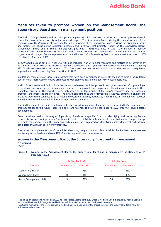### **Measures taken to promote women on the Management Board, the Supervisory Board and in management positions**

The Addiko Group Diversity and Inclusion policy, aligned with EU directives, provides a structured process through which the bank defines diversity objectives and targets. The Supervisory Board, during the annual review of the composition of the Management Board and the self-assessment of the Supervisory Board, reviews the diversity strategy and targets set. These define voluntary measures and initiatives that promote women on the Supervisory Board, Management Board and in senior management positions. Throughout most of 2021, the number of female representatives in the Supervisory Board of Addiko Bank AG was 33% however due to resignations and related organizational changes, female representation in Addiko Bank AG's Supervisory Board has temporarily returned to 25% effective 31 December 2021.

In 2019 Addiko Group set a 3 – year Diversity and Inclusion Plan with clear measures and metrics to be achieved by Year End 2021. Over 90% of the measures that were outlined in the 3-year D&I Plan were achieved as well as achieving 33% female representation for most of 2021. There are two new female candidates in the process of regulatory approval who will be entering Board positions in 2022.

In addition, there are four successful programs that have been introduced in 2021 with the aim to build a future talent pool in which more women will be promoted to Management Board and Supervisory Board positions.

Addiko Bank Croatia and Addiko Bank Serbia each achieved the EU-supported prestigious 'Mamforce' top employer recognition, an award given to companies who actively promote and implement diversity and inclusion in their workplace practices. The award is given only after an in-depth audit of the Bank's measures, metrics, policies, practices and processes are reviewed. The award confirms that the organization is actively building a diverse and inclusive work force committing to achieving measurable Diversity targets by Year End 2024. The audit is repeated annually to ensure diversity & inclusion is improved year on year.

The Addiko Senior Leadership Development Center was developed and launched in three of Addiko's countries. The program has identified future succession pools and talents. This will be continued in 2022 ensuring focused talent development.

Group level succession planning of Supervisory Boards with specific focus on identifying and recruiting female representatives across Supervisory Boards and Committees of Addiko subsidiaries. In order to increase the percentage of female representatives in the managing bodies, close focus is placed on identifying qualified internal and external candidates that match our diversity strategy.

The successful implementation of the Addiko Mentoring program in which 90% of Addiko Bank's board members are mentoring future leaders and over 70% of mentoring participants are females.

### <span id="page-16-0"></span>**Women in the Management Board, the Supervisory Board and in management positions**

#### $[C-60]$

#### **Figure 3 Women in the Management Board, the Supervisory Board and in management positions as of 31 December 2021**

|                                | <b>Addiko Bank AG</b> |                 |            | <b>Addiko Group<sup>3</sup></b> |
|--------------------------------|-----------------------|-----------------|------------|---------------------------------|
| <b>Function</b>                | Female no.            | <b>Female %</b> | Female no. | <b>Female %</b>                 |
| Supervisory Board <sup>4</sup> |                       | 33%             | a          | 25%                             |
| Management Board               |                       | 0%              |            | 14%                             |
| Senior Management (B-1)        |                       | 29%             | 58         | 50%                             |

<span id="page-16-1"></span><sup>&</sup>lt;sup>3</sup> Including, in addition to Addiko Bank AG, its subsidiaries Addiko Bank d.d. Croatia, Addiko Bank d.d. Slovenia, Addiko Bank a.d. Serbia, Addiko Bank d.d. Sarajevo, Addiko Bank a.d. Banja Luka and Addiko Bank AD Montenegro

<sup>4</sup> Excluding members of the works council in Addiko Bank AG since neither the shareholder nor the Supervisory Board have any influence on their selection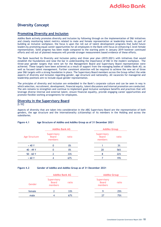# **Diversity Concept**

#### <span id="page-17-0"></span>**Promoting Diversity and Inclusion**

Addiko Bank actively promotes diversity and inclusion by following through on the implementation of D&I initiatives and closely monitoring talent metrics related to male and female representation at leadership levels. As part of building an inclusive workplace, the focus is upon the roll out of talent development programs that build future leaders by promoting equal career opportunities for all employees in the Bank with focus on enhancing C level female representation. Solid progress has been made compared to the starting point in January 2019 however continued efforts and roll out of planned measures will provide stronger measurement based evidence of these efforts.

The Bank launched its Diversity and Inclusion policy and three year plan (2019-2021) with initiatives that would establish the foundations and raise the bar in understanding the importance of D&I in the modern workplace. The three-year gender targets that were set for the Management Board and Supervisory Board representation were achieved. These targets have been achieved as a result of support from the managing bodies of Addiko Bank AG; as well as focused talent management. Further consistent attention will be required to achieve the new set of three year D&I targets with a strong foundation in place. The Supervisory Board members across the Group reflect the wide aspects of diversity and inclusion regarding gender, age structure and nationality. All vacancies for managerial and leadership positions aim to include equal gender representation.

The principles of diversity and inclusion are embedded in the Bank's corporate culture and can be seen in way in which selection, recruitment, development, financial equity, talent discussions and internal promotion are conducted. The aim remains to strengthen and continue to implement good inclusive workplace benefits and practices that will leverage diverse internal and external talent, ensure financial equality, provide engaging career opportunities and promote flexible working arrangements for employees.

#### <span id="page-17-1"></span>**Diversity in the Supervisory Board**

[L-52]

Aspects of diversity that are taken into consideration in the ABG Supervisory Board are the representation of both genders, the age structure and the internationality (citizenship) of its members in the Holding and across the subsidiaries.

|                      | <b>Addiko Bank AG</b>                  |       | <b>Addiko Group</b>                    |       |  |
|----------------------|----------------------------------------|-------|----------------------------------------|-------|--|
| <b>Age Structure</b> | Supervisory<br><b>Board</b><br>members | ratio | Supervisory<br><b>Board</b><br>members | ratio |  |
| < 40 Y               |                                        | 0%    |                                        | 3%    |  |
| 40 - 49 Y            | 0                                      | 0%    | 20                                     | 56%   |  |
| $50 - 60Y$           |                                        | 33%   |                                        | 22%   |  |
| $>60$ Y              |                                        | 67%   |                                        | 19%   |  |

#### **Figure 4.1 Age Structure of Addiko and Addiko Group as of 31 December 2021**

#### **Figure 4.2 Gender of Addiko and Addiko Group as of 31 December 2021**

|        | <b>Addiko Bank AG</b>                           |     | <b>Addiko Group</b>                    |     |
|--------|-------------------------------------------------|-----|----------------------------------------|-----|
| Gender | Supervisory<br><b>Board</b><br>ratio<br>members |     | Supervisory<br><b>Board</b><br>members |     |
| female |                                                 | 33% |                                        | 25% |
| male   |                                                 | 67% | 77                                     | 75% |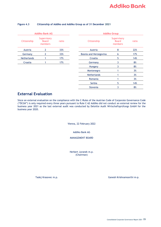$\overline{\phantom{a}}$  $\overline{\phantom{0}}$ L, L,

÷.

|                    | <b>Addiko Bank AG</b>                  |       |                        | <b>Addiko Group</b>                    |       |
|--------------------|----------------------------------------|-------|------------------------|----------------------------------------|-------|
| Citizenship        | Supervisory<br><b>Board</b><br>members | ratio | Citizenship            | Supervisory<br><b>Board</b><br>members | ratio |
| Austria            | 2                                      | 33%   | Austria                | 8                                      | 22%   |
| Germany            |                                        | 33%   | Bosnia and Herzegovina | 6                                      | 17%   |
| <b>Netherlands</b> |                                        | 17%   | Croatia                | 5                                      | 14%   |
| Croatia            |                                        | 17%   | Germany                | 3                                      | 8%    |
|                    |                                        |       | Hungary                | 3                                      | 8%    |
|                    |                                        |       | Montenegro             |                                        | 3%    |
|                    |                                        |       | <b>Netherlands</b>     |                                        | 3%    |
|                    |                                        |       | Romania                |                                        | 3%    |
|                    |                                        |       | Serbia                 | 5                                      | 14%   |

#### **Figure 4.3 Citizenship of Addiko and Addiko Group as of 31 December 2021**

### <span id="page-18-0"></span>**External Evaluation**

Since an external evaluation on the compliance with the C-Rules of the Austrian Code of Corporate Governance Code ("ÖCGK") is only required every three years pursuant to Rule C-62 Addiko did not conduct an external review for the business year 2021 as the last external audit was conducted by Deloitte Audit Wirtschaftsprüfungs GmbH for the business year 2020.

Vienna, 22 February 2022

Addiko Bank AG

MANAGEMENT BOARD

Herbert Juranek m.p. (Chairman)

Tadej Krasovec m.p. Ganesh Krishnamoorthi m-p.

Slovenia 3 8%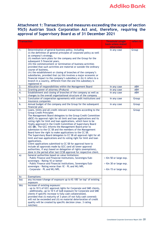<span id="page-19-0"></span>**Attachment 1: Transactions and measures exceeding the scope of section 95(5) Austrian Stock Corporation Act and, therefore, requiring the approval of Supervisory Board as of 31 December 2021**

| <b>Transaction</b>     |                                                                                                                                        | <b>Threshold (single</b><br>basis unless stated | refers to                |
|------------------------|----------------------------------------------------------------------------------------------------------------------------------------|-------------------------------------------------|--------------------------|
|                        |                                                                                                                                        | otherwise)                                      |                          |
| 1.                     | Determination of general business policy, including                                                                                    | in any case                                     | Group                    |
|                        | (i) the definition of general principles of corporate policy as well                                                                   |                                                 |                          |
|                        | as company's strategy,<br>(ii) medium term plans for the company and the Group for the                                                 |                                                 |                          |
|                        | subsequent 5 financial years,                                                                                                          |                                                 |                          |
|                        | (iii) the commencement or termination of business activities                                                                           |                                                 |                          |
|                        | provided that such activities are material or outside the ordinary                                                                     |                                                 |                          |
|                        | course of business,                                                                                                                    |                                                 |                          |
|                        | (iv) the establishment or closing of branches of the company's                                                                         |                                                 |                          |
|                        | subsidiaries, provided that (a) this involves a major economic or                                                                      |                                                 |                          |
|                        | financial impact to the company's subsidiary or (b) it refers to a                                                                     |                                                 |                          |
|                        | branch in a country, different from the one this subsidiary is                                                                         |                                                 |                          |
|                        | registered in                                                                                                                          |                                                 |                          |
| 2.<br>$\overline{3}$ . | Allocation of responsibilities within the Management Board                                                                             | in any case                                     | <b>ABH</b><br><b>ABH</b> |
| 4.                     | Granting power of attorney (Prokura)<br>Establishment and closing of branches of the company as well as                                | in any case<br>in any case                      | <b>ABH</b>               |
|                        | changes to the overall organizational structure of the company                                                                         |                                                 |                          |
| 5.                     | Conclusion of cooperation agreements with credit institutions and                                                                      | in any case                                     | Group                    |
|                        | insurance companies                                                                                                                    |                                                 |                          |
| 6.                     | Annual budget of the company and the Group for the subsequent                                                                          | in any case                                     | Group                    |
|                        | financial year.                                                                                                                        |                                                 |                          |
| 7.                     | Loans, limits and all credit relevant transactions according to the                                                                    |                                                 | Group                    |
|                        | <b>Group Credit Principles</b><br>The Management Board delegates to the Group Credit Committee                                         |                                                 |                          |
|                        | (GCC) its approval right for all limit and loan applications and its                                                                   |                                                 |                          |
|                        | voting right for limit and loan applications, which have to be                                                                         |                                                 |                          |
|                        | finally approved in the Credit Committee of Supervisory Board                                                                          |                                                 |                          |
|                        | (CC SB). The GCC informs the Management Board prior to                                                                                 |                                                 |                          |
|                        | submission to the CC SB and the members of the Management                                                                              |                                                 |                          |
|                        | Board have the right to make applications to the CC SB.                                                                                |                                                 |                          |
|                        | The Supervisory Board delegates to CC SB all approval right for all                                                                    |                                                 |                          |
|                        | limit and loan applications and its voting right for limit and loan                                                                    |                                                 |                          |
|                        | applications.                                                                                                                          |                                                 |                          |
|                        | Client applications submitted to CC SB for approval have to                                                                            |                                                 |                          |
|                        | include all approvals made by GCC (and all lower approval                                                                              |                                                 |                          |
|                        | authorities, if any) based on delegation of rights (exemptions),<br>done in the period after last CCSB approval for respective client. |                                                 |                          |
| a)                     | General authorities based on value limitations:                                                                                        |                                                 |                          |
|                        | - Public Finance and Financial Institutions, Sovereigns/Sub-                                                                           | $> \epsilon$ m 50 or large exp.                 |                          |
|                        | sovereigns - Rating 1E or better                                                                                                       |                                                 |                          |
|                        | - Public Finance and Financial Institutions, Sovereigns/Sub-                                                                           | $> \epsilon$ m 30 or large exp.                 |                          |
|                        | sovereigns - Rating worse than 1E - PL and WL/NPL                                                                                      |                                                 |                          |
|                        | - Corporate - PL and WL/NPL                                                                                                            | $> \epsilon$ m 15 or large exp.                 |                          |
|                        |                                                                                                                                        |                                                 |                          |
| b)                     | Exemptions:                                                                                                                            |                                                 |                          |
| ba)                    | any increase/change of exposure up to €t 100 "on top" of existing                                                                      |                                                 |                          |
|                        | exposure                                                                                                                               |                                                 |                          |
| bb)                    | increase of existing exposure:                                                                                                         |                                                 |                          |
|                        | - up to 10 % of GCC approval rights for Corporate and SME clients,                                                                     |                                                 |                          |
|                        | - additionally, up to 10 % of GoB exposure for Corporate and SME<br>clients if specific increase is fully cash collateralized,         |                                                 |                          |
|                        | provided that (i) maturity of 3 years (if not fully cash covered)                                                                      |                                                 |                          |
|                        | will not be exceeded and (ii) no material deterioration of credit                                                                      |                                                 |                          |
|                        | quality will be created by specific decision (max. 3 rating                                                                            |                                                 |                          |
|                        | notches)                                                                                                                               |                                                 |                          |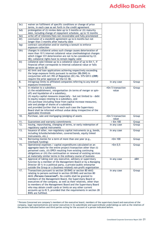| bc)          | waiver on fulfilment of specific conditions or change of price                                                                    |                            |            |
|--------------|-----------------------------------------------------------------------------------------------------------------------------------|----------------------------|------------|
|              | terms, in each case as set forth in the credit agreement                                                                          |                            |            |
| bd)          | prolongation of (i) review date up to 3 months or (ii) maturity                                                                   |                            |            |
|              | date, including change of repayment schedule, up to 12 months                                                                     |                            |            |
| be)          | write off of interests/fees not recoverable and fully provisioned                                                                 |                            |            |
| bf)          | conclusion of a standstill agreement up to 6 months but not                                                                       |                            |            |
|              | longer than 3 months after maturity date                                                                                          |                            |            |
| bg)          | contract cancellation and/or starting a lawsuit to enforce                                                                        |                            |            |
|              | exposure collection                                                                                                               |                            |            |
| bh)          | changes in collateral unless such change causes deterioration of                                                                  |                            |            |
|              | more than 10 % internal collateral value (methodological changes                                                                  |                            |            |
|              | which trigger ICV deterioration are not to be considered by CC                                                                    |                            |            |
|              | SB); collateral rights have to remain legally valid                                                                               |                            |            |
| bi)          | collateral sale/release up to a collateral value of up to €m 1, if                                                                |                            |            |
|              | financial offset corresponds to internal collateral value or falls                                                                |                            |            |
|              | below up to €t 50                                                                                                                 |                            |            |
| $\mathsf{C}$ | All limit and loan applications achieving respectively exceeding                                                                  |                            |            |
|              | the large exposure limits pursuant to section 28b BWG in                                                                          |                            |            |
|              | conjunction with Art 392 of Regulation (EC) No. 575/2013 (CRR)                                                                    |                            |            |
| 8.           | require the prior approval of the CC SB.<br>Intragroup limits to affiliated companies referring to any kind of                    |                            |            |
|              | exposure/investment                                                                                                               | in any case                | Group      |
| 9.           | In relation to a subsidiary                                                                                                       | $\epsilon$ m 5 transaction | Group      |
|              | (i) the establishment, reorganisation (in terms of merger or spin-                                                                | value                      |            |
|              | off) and liquidation of a subsidiary,                                                                                             |                            |            |
|              | (ii) equity capital measures (especially - but not limited to - debt                                                              |                            |            |
|              | to equity swaps) relating to a subsidiary, and                                                                                    |                            |            |
|              | (iii) purchase (including those from capital increase measures),                                                                  |                            |            |
|              | sale and pledge of shares of a subsidiary                                                                                         |                            |            |
|              | and provided further that in each such case the Supervisory                                                                       |                            |            |
|              | Board shall be informed without undue delay irrespective of the                                                                   |                            |            |
|              | applicable threshold.                                                                                                             |                            |            |
| 10.          | Purchase, sale and mortgaging/pledging of assets                                                                                  | $\epsilon$ m 5 transaction | Group      |
|              |                                                                                                                                   | value                      |            |
| 11.          | Guarantees and warranty commitments                                                                                               | $\geq \epsilon$ m 100      | Group      |
| 12.          | Issuing, repurchasing, changing of terms, or early redemption of                                                                  | in any case                | Group      |
|              | regulatory capital instruments                                                                                                    |                            |            |
| 13.          | Issuance of other, non-regulatory capital instruments (e.g, bonds,                                                                | in any case                | Group      |
|              | including Schuldscheindarlehen, covered bonds, equity linked                                                                      |                            |            |
|              | instruments, etc.)                                                                                                                |                            |            |
| 14.          | Borrowing monies for a term of more than one year (e.g.,                                                                          | > €m 100                   | Group      |
|              | interbank funding)                                                                                                                |                            |            |
| 15.          | Operational expenses / capital expenditures calculated on an<br>aggregate basis for the entire project/transaction other than (i) | $\epsilon$ m 0,5           | Group      |
|              | personnel costs, (ii) OPEX resulting from existing continuing                                                                     |                            |            |
|              | obligations or (iii) the continuation or renewal of existing services                                                             |                            |            |
|              | at materially similar terms in the ordinary course of business                                                                    |                            |            |
| 16.          | Approval of taking over any executive, advisory or supervisory                                                                    | in any case                | <b>ABH</b> |
|              | function by a member of the Management Board or by a Managing                                                                     |                            |            |
|              | Director (B-1) in a political party, a private/public enterprise                                                                  |                            |            |
|              | outside the Group or a (business-related) non-profit organization                                                                 |                            |            |
| 17.          | Transactions pursuant to section 28 BWG or section 80 AktG                                                                        | in any case                | Group      |
|              | relating to persons outlined in section 28 BWG and section 80                                                                     |                            |            |
|              | AktG (Persons Concerned <sup>5</sup> ). No credits shall be granted to                                                            |                            |            |
|              | members of the Management Board, the Supervisory Board or                                                                         |                            |            |
|              | executives of the company, as well as their relatives, other than                                                                 |                            |            |
|              | to members of the Management Board and the Supervisory Board                                                                      |                            |            |
|              | who may obtain credit cards or limits on any other current                                                                        |                            |            |
|              |                                                                                                                                   |                            |            |
|              | accounts up to $E$ t 5, provided that the requirements in section 28<br>BWG are fulfilled.                                        |                            |            |

<sup>&</sup>lt;sup>5</sup> Persons Concerned are company's members of the executive board, members of the supervisory board and executives of the company, legal representatives and senior executives in its subordinate and superordinate undertakings as well as the relatives of the persons indicated before and third parties acting for the account of a person indicated before.